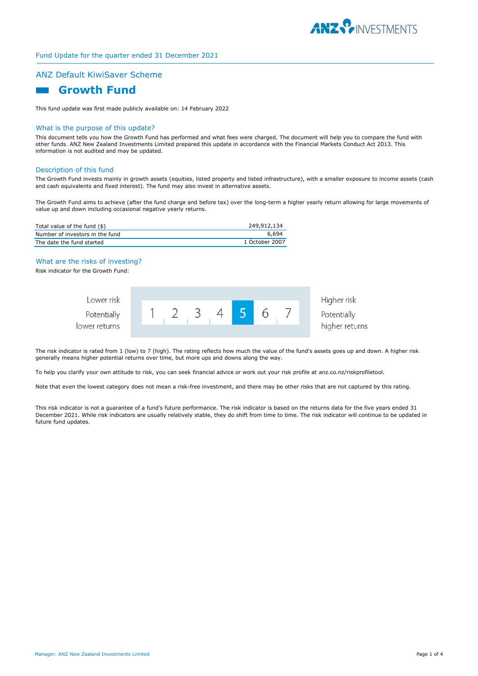

# ANZ Default KiwiSaver Scheme

# **Growth Fund**

This fund update was first made publicly available on: 14 February 2022

#### What is the purpose of this update?

This document tells you how the Growth Fund has performed and what fees were charged. The document will help you to compare the fund with other funds. ANZ New Zealand Investments Limited prepared this update in accordance with the Financial Markets Conduct Act 2013. This information is not audited and may be updated.

#### Description of this fund

The Growth Fund invests mainly in growth assets (equities, listed property and listed infrastructure), with a smaller exposure to income assets (cash and cash equivalents and fixed interest). The fund may also invest in alternative assets.

The Growth Fund aims to achieve (after the fund charge and before tax) over the long-term a higher yearly return allowing for large movements of value up and down including occasional negative yearly returns.

| Total value of the fund (\$)    | 249,912,134    |
|---------------------------------|----------------|
| Number of investors in the fund | 6.694          |
| The date the fund started       | 1 October 2007 |

### What are the risks of investing?

Risk indicator for the Growth Fund:

| Lower risk    |  |  |  |  | Higher risk    |
|---------------|--|--|--|--|----------------|
| Potentially   |  |  |  |  | Potentially    |
| lower returns |  |  |  |  | higher returns |

The risk indicator is rated from 1 (low) to 7 (high). The rating reflects how much the value of the fund's assets goes up and down. A higher risk generally means higher potential returns over time, but more ups and downs along the way.

To help you clarify your own attitude to risk, you can seek financial advice or work out your risk profile at anz.co.nz/riskprofiletool.

Note that even the lowest category does not mean a risk-free investment, and there may be other risks that are not captured by this rating.

This risk indicator is not a guarantee of a fund's future performance. The risk indicator is based on the returns data for the five years ended 31 December 2021. While risk indicators are usually relatively stable, they do shift from time to time. The risk indicator will continue to be updated in future fund updates.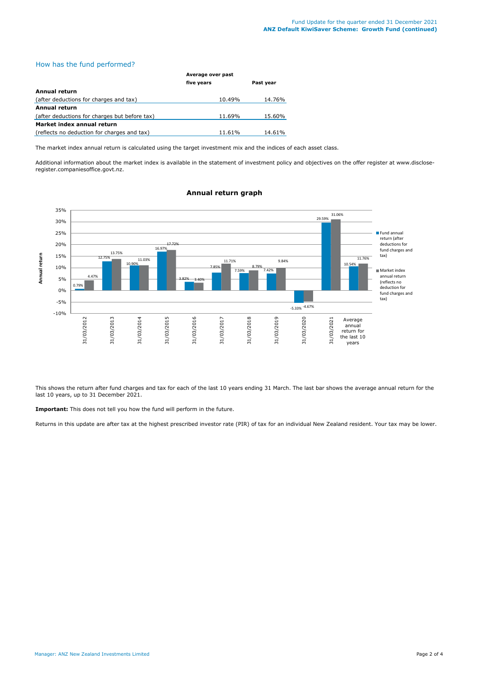# How has the fund performed?

|                                               | Average over past |           |  |
|-----------------------------------------------|-------------------|-----------|--|
|                                               | five years        | Past year |  |
| Annual return                                 |                   |           |  |
| (after deductions for charges and tax)        | 10.49%            | 14.76%    |  |
| <b>Annual return</b>                          |                   |           |  |
| (after deductions for charges but before tax) | 11.69%            | 15.60%    |  |
| Market index annual return                    |                   |           |  |
| (reflects no deduction for charges and tax)   | 11.61%            | 14.61%    |  |

The market index annual return is calculated using the target investment mix and the indices of each asset class.

Additional information about the market index is available in the statement of investment policy and objectives on the offer register at www.discloseregister.companiesoffice.govt.nz.



# **Annual return graph**

This shows the return after fund charges and tax for each of the last 10 years ending 31 March. The last bar shows the average annual return for the last 10 years, up to 31 December 2021.

**Important:** This does not tell you how the fund will perform in the future.

Returns in this update are after tax at the highest prescribed investor rate (PIR) of tax for an individual New Zealand resident. Your tax may be lower.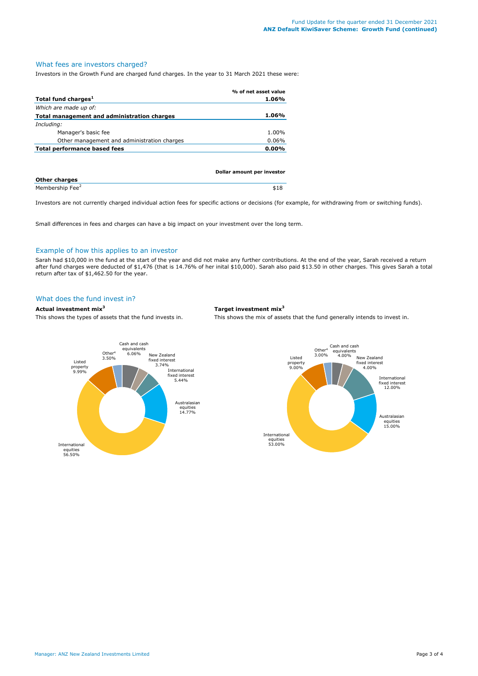### What fees are investors charged?

Investors in the Growth Fund are charged fund charges. In the year to 31 March 2021 these were:

|                                             | % of net asset value |
|---------------------------------------------|----------------------|
| Total fund charges <sup>1</sup>             | 1.06%                |
| Which are made up of:                       |                      |
| Total management and administration charges | 1.06%                |
| Including:                                  |                      |
| Manager's basic fee                         | 1.00%                |
| Other management and administration charges | $0.06\%$             |
| Total performance based fees                | $0.00\%$             |
|                                             |                      |
|                                             |                      |

|                             | Dollar amount per investor |
|-----------------------------|----------------------------|
| Other charges               |                            |
| Membership Fee <sup>2</sup> | \$18                       |

Investors are not currently charged individual action fees for specific actions or decisions (for example, for withdrawing from or switching funds).

Small differences in fees and charges can have a big impact on your investment over the long term.

#### Example of how this applies to an investor

Sarah had \$10,000 in the fund at the start of the year and did not make any further contributions. At the end of the year, Sarah received a return after fund charges were deducted of \$1,476 (that is 14.76% of her inital \$10,000). Sarah also paid \$13.50 in other charges. This gives Sarah a total return after tax of \$1,462.50 for the year.

# What does the fund invest in?

### **Actual investment mix<sup>3</sup> Target investment mix<sup>3</sup>**

This shows the types of assets that the fund invests in. This shows the mix of assets that the fund generally intends to invest in.